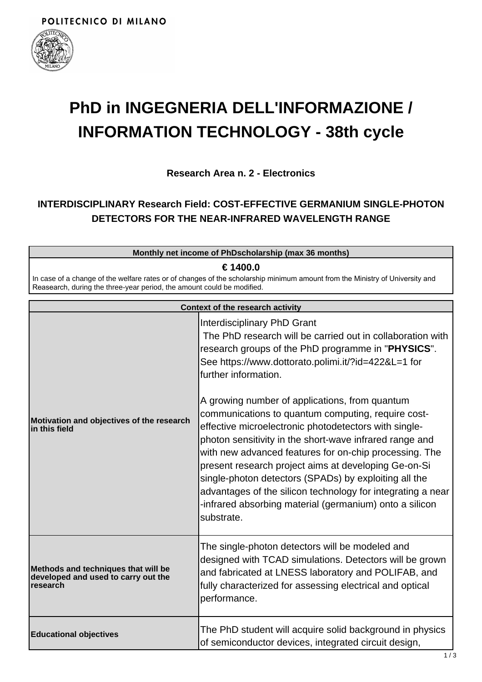

## **PhD in INGEGNERIA DELL'INFORMAZIONE / INFORMATION TECHNOLOGY - 38th cycle**

**Research Area n. 2 - Electronics**

## **INTERDISCIPLINARY Research Field: COST-EFFECTIVE GERMANIUM SINGLE-PHOTON DETECTORS FOR THE NEAR-INFRARED WAVELENGTH RANGE**

| Monthly net income of PhDscholarship (max 36 months)                                                                                                                                                   |  |  |
|--------------------------------------------------------------------------------------------------------------------------------------------------------------------------------------------------------|--|--|
| ∈ 1400.0                                                                                                                                                                                               |  |  |
| In case of a change of the welfare rates or of changes of the scholarship minimum amount from the Ministry of University and<br>Reasearch, during the three-year period, the amount could be modified. |  |  |
|                                                                                                                                                                                                        |  |  |

| Context of the research activity                                                              |                                                                                                                                                                                                                                                                                                                                                                                                                                                                                                                                                                                                                                                                                                                                                                               |  |
|-----------------------------------------------------------------------------------------------|-------------------------------------------------------------------------------------------------------------------------------------------------------------------------------------------------------------------------------------------------------------------------------------------------------------------------------------------------------------------------------------------------------------------------------------------------------------------------------------------------------------------------------------------------------------------------------------------------------------------------------------------------------------------------------------------------------------------------------------------------------------------------------|--|
| Motivation and objectives of the research<br>lin this field                                   | Interdisciplinary PhD Grant<br>The PhD research will be carried out in collaboration with<br>research groups of the PhD programme in "PHYSICS".<br>See https://www.dottorato.polimi.it/?id=422&L=1 for<br>further information.<br>A growing number of applications, from quantum<br>communications to quantum computing, require cost-<br>effective microelectronic photodetectors with single-<br>photon sensitivity in the short-wave infrared range and<br>with new advanced features for on-chip processing. The<br>present research project aims at developing Ge-on-Si<br>single-photon detectors (SPADs) by exploiting all the<br>advantages of the silicon technology for integrating a near<br>-infrared absorbing material (germanium) onto a silicon<br>substrate. |  |
| Methods and techniques that will be<br>developed and used to carry out the<br><b>research</b> | The single-photon detectors will be modeled and<br>designed with TCAD simulations. Detectors will be grown<br>and fabricated at LNESS laboratory and POLIFAB, and<br>fully characterized for assessing electrical and optical<br>performance.                                                                                                                                                                                                                                                                                                                                                                                                                                                                                                                                 |  |
| <b>Educational objectives</b>                                                                 | The PhD student will acquire solid background in physics<br>of semiconductor devices, integrated circuit design,                                                                                                                                                                                                                                                                                                                                                                                                                                                                                                                                                                                                                                                              |  |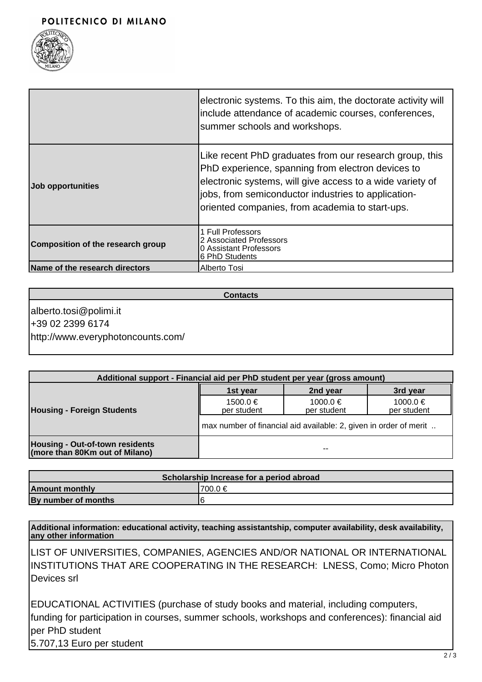

|                                   | electronic systems. To this aim, the doctorate activity will<br>include attendance of academic courses, conferences,<br>summer schools and workshops.                                                                                                                               |
|-----------------------------------|-------------------------------------------------------------------------------------------------------------------------------------------------------------------------------------------------------------------------------------------------------------------------------------|
| Job opportunities                 | Like recent PhD graduates from our research group, this<br>PhD experience, spanning from electron devices to<br>electronic systems, will give access to a wide variety of<br>jobs, from semiconductor industries to application-<br>oriented companies, from academia to start-ups. |
| Composition of the research group | 1 Full Professors<br>2 Associated Professors<br>0 Assistant Professors<br>6 PhD Students                                                                                                                                                                                            |
| Name of the research directors    | Alberto Tosi                                                                                                                                                                                                                                                                        |

**Contacts**

alberto.tosi@polimi.it +39 02 2399 6174 http://www.everyphotoncounts.com/

| Additional support - Financial aid per PhD student per year (gross amount) |                                                                   |                         |                         |  |
|----------------------------------------------------------------------------|-------------------------------------------------------------------|-------------------------|-------------------------|--|
|                                                                            | 1st year                                                          | 2nd year                | 3rd year                |  |
| <b>Housing - Foreign Students</b>                                          | $1500.0 \in$<br>per student                                       | 1000.0 €<br>per student | 1000.0 €<br>per student |  |
|                                                                            | max number of financial aid available: 2, given in order of merit |                         |                         |  |
| <b>Housing - Out-of-town residents</b><br>(more than 80Km out of Milano)   |                                                                   | --                      |                         |  |

| Scholarship Increase for a period abroad |          |  |  |
|------------------------------------------|----------|--|--|
| <b>Amount monthly</b>                    | '700.0 € |  |  |
| By number of months                      |          |  |  |

**Additional information: educational activity, teaching assistantship, computer availability, desk availability, any other information**

LIST OF UNIVERSITIES, COMPANIES, AGENCIES AND/OR NATIONAL OR INTERNATIONAL INSTITUTIONS THAT ARE COOPERATING IN THE RESEARCH: LNESS, Como; Micro Photon Devices srl

EDUCATIONAL ACTIVITIES (purchase of study books and material, including computers, funding for participation in courses, summer schools, workshops and conferences): financial aid per PhD student 5.707,13 Euro per student